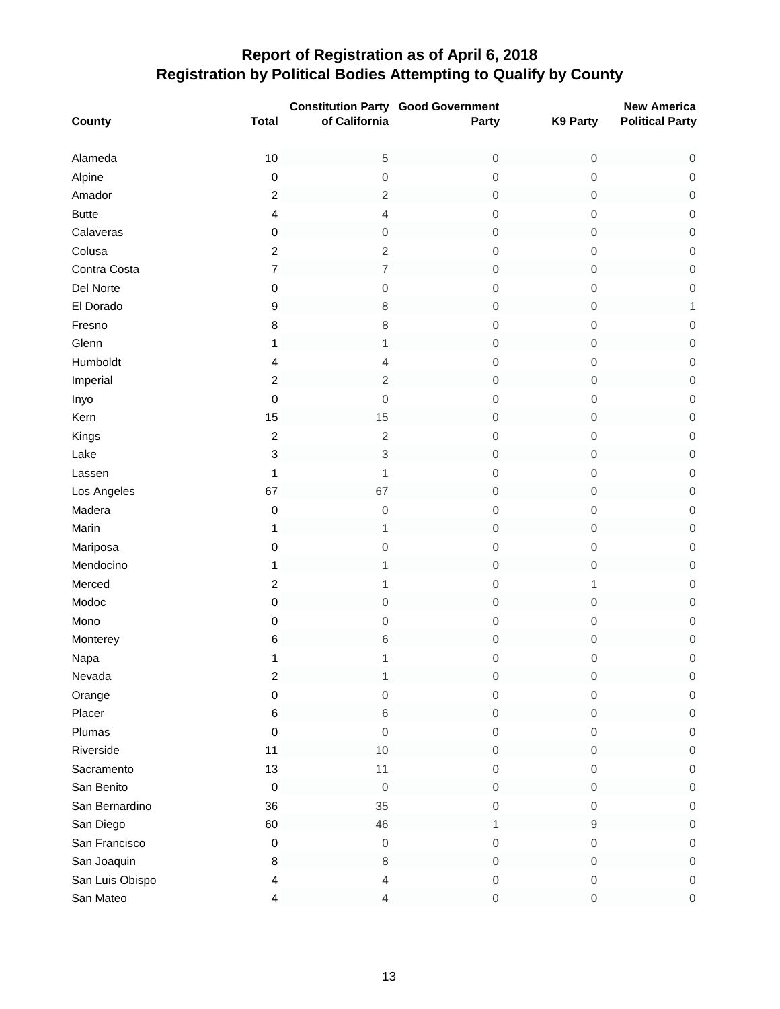|                 |                           |                          | <b>Constitution Party Good Government</b> |                  | <b>New America</b>     |
|-----------------|---------------------------|--------------------------|-------------------------------------------|------------------|------------------------|
| County          | <b>Total</b>              | of California            | Party                                     | K9 Party         | <b>Political Party</b> |
| Alameda         | 10                        | $\,$ 5 $\,$              | $\mathbf 0$                               | 0                | $\mathsf{O}\xspace$    |
| Alpine          | $\pmb{0}$                 | $\mbox{O}$               | $\mathsf{O}\xspace$                       | 0                | $\,0\,$                |
| Amador          | $\boldsymbol{2}$          | $\overline{\mathbf{c}}$  | $\mathbf 0$                               | 0                | $\mathsf{O}\xspace$    |
| <b>Butte</b>    | 4                         | 4                        | $\boldsymbol{0}$                          | 0                | $\mathbf 0$            |
| Calaveras       | $\pmb{0}$                 | $\mathbf 0$              | $\mathbf 0$                               | 0                | $\mathbf 0$            |
| Colusa          | $\overline{c}$            | $\sqrt{2}$               | $\mathsf{O}\xspace$                       | $\mathbf 0$      | $\mathsf 0$            |
| Contra Costa    | 7                         | $\overline{\mathcal{I}}$ | $\mbox{O}$                                | 0                | $\mbox{O}$             |
| Del Norte       | $\mathbf 0$               | $\mbox{O}$               | $\mbox{O}$                                | 0                | $\mathbf 0$            |
| El Dorado       | $\boldsymbol{9}$          | 8                        | $\boldsymbol{0}$                          | 0                | $\mathbf{1}$           |
| Fresno          | $\bf 8$                   | $\,8\,$                  | $\mbox{O}$                                | $\mathbf 0$      | $\mathbf 0$            |
| Glenn           | $\mathbf{1}$              | $\mathbf 1$              | $\boldsymbol{0}$                          | $\boldsymbol{0}$ | $\mathsf{O}\xspace$    |
| Humboldt        | 4                         | 4                        | $\mbox{O}$                                | 0                | $\boldsymbol{0}$       |
| Imperial        | $\boldsymbol{2}$          | $\sqrt{2}$               | $\boldsymbol{0}$                          | 0                | $\mathbf 0$            |
| Inyo            | $\pmb{0}$                 | $\mathbf 0$              | $\mathsf{O}\xspace$                       | $\boldsymbol{0}$ | $\boldsymbol{0}$       |
| Kern            | 15                        | 15                       | $\mathbf 0$                               | 0                | $\mathsf{O}\xspace$    |
| Kings           | $\mathbf 2$               | $\sqrt{2}$               | $\boldsymbol{0}$                          | $\mathbf 0$      | $\mathbf 0$            |
| Lake            | $\ensuremath{\mathsf{3}}$ | 3                        | $\mathbf 0$                               | 0                | $\mathbf 0$            |
| Lassen          | $\mathbf{1}$              | 1                        | $\boldsymbol{0}$                          | 0                | $\mathsf 0$            |
| Los Angeles     | 67                        | 67                       | $\mathbf 0$                               | 0                | $\mbox{O}$             |
| Madera          | $\pmb{0}$                 | $\mathbf 0$              | $\mbox{O}$                                | $\mathbf 0$      | $\mathbf 0$            |
| Marin           | 1                         | 1                        | $\mbox{O}$                                | 0                | $\mathbf 0$            |
| Mariposa        | $\mathbf 0$               | $\mbox{O}$               | $\mbox{O}$                                | 0                | $\mathbf 0$            |
| Mendocino       | 1                         | 1                        | $\boldsymbol{0}$                          | 0                | $\mathbf 0$            |
| Merced          | $\boldsymbol{2}$          | 1                        | $\mathsf{O}\xspace$                       | 1                | $\mathbf 0$            |
| Modoc           | $\pmb{0}$                 | $\boldsymbol{0}$         | $\boldsymbol{0}$                          | 0                | $\mathbf 0$            |
| Mono            | $\mathbf 0$               | $\mbox{O}$               | $\mbox{O}$                                | 0                | $\mathbf 0$            |
| Monterey        | 6                         | $\,$ 6 $\,$              | $\boldsymbol{0}$                          | $\mathbf 0$      | $\mathsf{O}\xspace$    |
| Napa            | 1                         | 1                        | $\mathbf 0$                               | $\mathbf 0$      | $\mathbf 0$            |
| Nevada          | $\overline{c}$            | 1                        | $\,0\,$                                   | 0                | $\boldsymbol{0}$       |
| Orange          | $\mathbf 0$               | $\boldsymbol{0}$         | 0                                         | 0                | $\mathsf{O}\xspace$    |
| Placer          | $\,6$                     | 6                        | $\,0\,$                                   | 0                | $\mathsf{O}\xspace$    |
| Plumas          | $\pmb{0}$                 | $\mathbf 0$              | $\mbox{O}$                                | 0                | $\mathbf 0$            |
| Riverside       | 11                        | $10$                     | $\mbox{O}$                                | 0                | $\mathsf{O}\xspace$    |
| Sacramento      | 13                        | 11                       | $\mbox{O}$                                | 0                | $\mathbf 0$            |
| San Benito      | $\pmb{0}$                 | $\boldsymbol{0}$         | 0                                         | 0                | $\mathsf{O}\xspace$    |
| San Bernardino  | 36                        | 35                       | $\mathbf 0$                               | 0                | $\mathbf 0$            |
| San Diego       | 60                        | 46                       | 1                                         | 9                | $\mathsf{O}\xspace$    |
| San Francisco   | 0                         | $\,0\,$                  | $\mathbf 0$                               | 0                | $\boldsymbol{0}$       |
| San Joaquin     | 8                         | $\,8\,$                  | $\mathbf 0$                               | 0                | $\mathbf 0$            |
| San Luis Obispo | 4                         | 4                        | $\mathsf{O}\xspace$                       | 0                | $\boldsymbol{0}$       |
| San Mateo       | 4                         | 4                        | $\mathbf 0$                               | 0                | $\,0\,$                |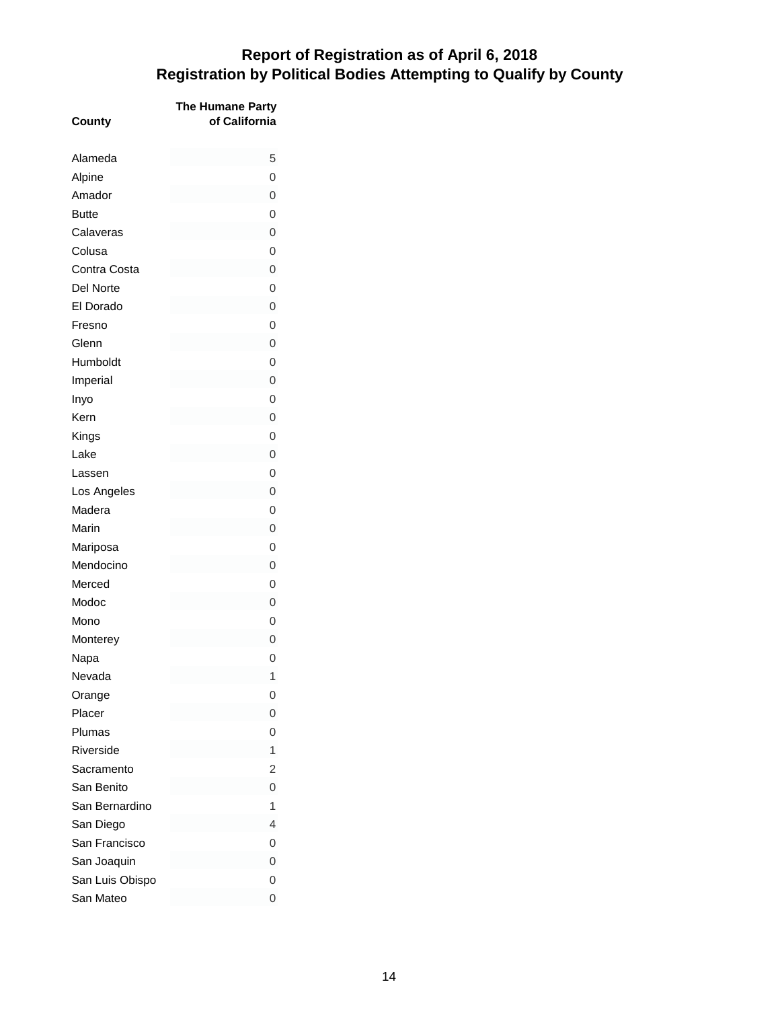| County          | The Humane Party<br>of California |
|-----------------|-----------------------------------|
| Alameda         | 5                                 |
| Alpine          | 0                                 |
| Amador          | 0                                 |
| <b>Butte</b>    | $\overline{0}$                    |
| Calaveras       | $\overline{0}$                    |
| Colusa          | $\overline{0}$                    |
| Contra Costa    | $\overline{0}$                    |
| Del Norte       | $\overline{0}$                    |
| El Dorado       | $\overline{0}$                    |
| Fresno          | 0                                 |
| Glenn           | $\overline{0}$                    |
| Humboldt        | 0                                 |
| Imperial        | $\overline{0}$                    |
| Inyo            | $\overline{0}$                    |
| Kern            | 0                                 |
| Kings           | $\overline{0}$                    |
| Lake            | $\overline{0}$                    |
| Lassen          | 0                                 |
| Los Angeles     | $\overline{0}$                    |
| Madera          | $\overline{0}$                    |
| Marin           | $\overline{0}$                    |
| Mariposa        | 0                                 |
| Mendocino       | 0                                 |
| Merced          | $\overline{0}$                    |
| Modoc           | 0                                 |
| Mono            | $\overline{0}$                    |
| Monterey        | O                                 |
| Napa            | 0                                 |
| Nevada          | 1                                 |
| Orange          | 0                                 |
| Placer          | $\overline{0}$                    |
| Plumas          | $\overline{0}$                    |
| Riverside       | 1                                 |
| Sacramento      | $\overline{2}$                    |
| San Benito      | 0                                 |
| San Bernardino  | 1                                 |
| San Diego       | 4                                 |
| San Francisco   | 0                                 |
| San Joaquin     | 0                                 |
| San Luis Obispo | 0                                 |
| San Mateo       | 0                                 |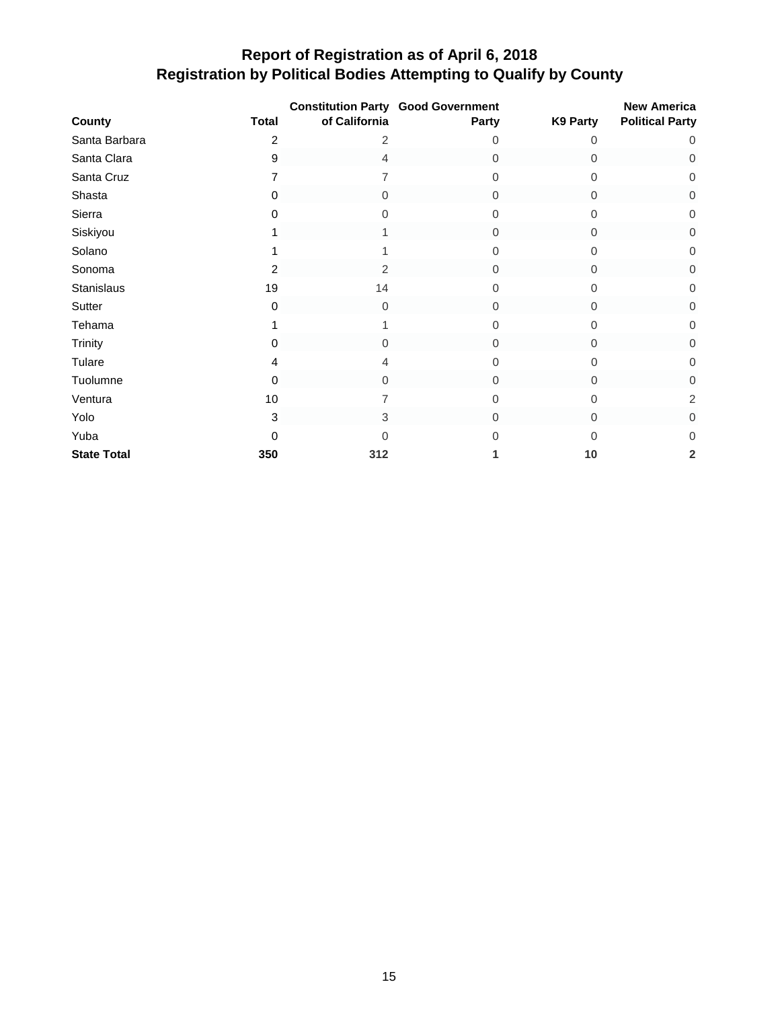|                    |              | of California  | <b>Constitution Party Good Government</b> |          | <b>New America</b>      |
|--------------------|--------------|----------------|-------------------------------------------|----------|-------------------------|
| County             | <b>Total</b> |                | Party                                     | K9 Party | <b>Political Party</b>  |
| Santa Barbara      | 2            | 2              | Ω                                         | 0        | 0                       |
| Santa Clara        | 9            | 4              | $\mathbf 0$                               | 0        | $\mathbf 0$             |
| Santa Cruz         |              |                | 0                                         | 0        | 0                       |
| Shasta             | 0            | 0              | 0                                         | 0        | 0                       |
| Sierra             | 0            | 0              | 0                                         | 0        | 0                       |
| Siskiyou           |              |                | $\Omega$                                  | 0        | 0                       |
| Solano             |              |                | 0                                         | 0        | 0                       |
| Sonoma             | 2            | $\overline{2}$ | $\Omega$                                  | 0        | 0                       |
| Stanislaus         | 19           | 14             | U                                         | 0        | 0                       |
| Sutter             | 0            | $\Omega$       | $\Omega$                                  | 0        | 0                       |
| Tehama             |              |                | U                                         | $\Omega$ | 0                       |
| Trinity            | $\Omega$     | $\Omega$       | $\Omega$                                  | $\Omega$ | 0                       |
| Tulare             | 4            | 4              | 0                                         | $\Omega$ | 0                       |
| Tuolumne           | 0            | $\Omega$       | $\Omega$                                  | $\Omega$ | 0                       |
| Ventura            | 10           |                | 0                                         | 0        | $\overline{c}$          |
| Yolo               | 3            | 3              | $\Omega$                                  | 0        | 0                       |
| Yuba               | 0            | 0              |                                           | 0        | 0                       |
| <b>State Total</b> | 350          | 312            |                                           | 10       | $\overline{\mathbf{2}}$ |